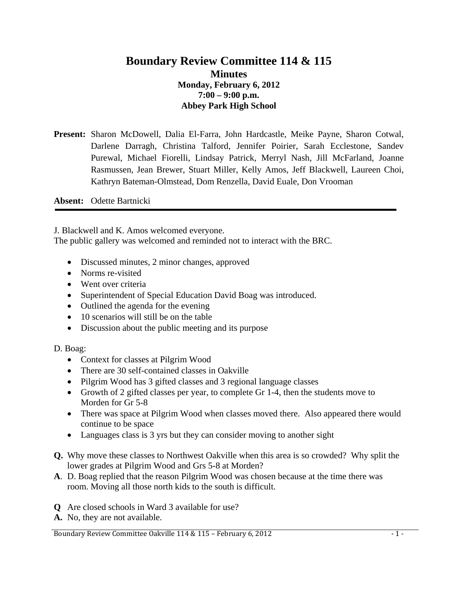## **Boundary Review Committee 114 & 115 Minutes Monday, February 6, 2012 7:00 – 9:00 p.m. Abbey Park High School**

**Present:** Sharon McDowell, Dalia El-Farra, John Hardcastle, Meike Payne, Sharon Cotwal, Darlene Darragh, Christina Talford, Jennifer Poirier, Sarah Ecclestone, Sandev Purewal, Michael Fiorelli, Lindsay Patrick, Merryl Nash, Jill McFarland, Joanne Rasmussen, Jean Brewer, Stuart Miller, Kelly Amos, Jeff Blackwell, Laureen Choi, Kathryn Bateman-Olmstead, Dom Renzella, David Euale, Don Vrooman

**Absent:** Odette Bartnicki

J. Blackwell and K. Amos welcomed everyone.

The public gallery was welcomed and reminded not to interact with the BRC.

- Discussed minutes, 2 minor changes, approved
- Norms re-visited
- Went over criteria
- Superintendent of Special Education David Boag was introduced.
- Outlined the agenda for the evening
- 10 scenarios will still be on the table
- Discussion about the public meeting and its purpose
- D. Boag:
	- Context for classes at Pilgrim Wood
	- There are 30 self-contained classes in Oakville
	- Pilgrim Wood has 3 gifted classes and 3 regional language classes
	- Growth of 2 gifted classes per year, to complete Gr 1-4, then the students move to Morden for Gr 5-8
	- There was space at Pilgrim Wood when classes moved there. Also appeared there would continue to be space
	- Languages class is 3 yrs but they can consider moving to another sight
- **Q.** Why move these classes to Northwest Oakville when this area is so crowded? Why split the lower grades at Pilgrim Wood and Grs 5-8 at Morden?
- **A**. D. Boag replied that the reason Pilgrim Wood was chosen because at the time there was room. Moving all those north kids to the south is difficult.
- **Q** Are closed schools in Ward 3 available for use?
- **A.** No, they are not available.

Boundary Review Committee Oakville 114 & 115 – February 6, 2012 - 1 - 1 -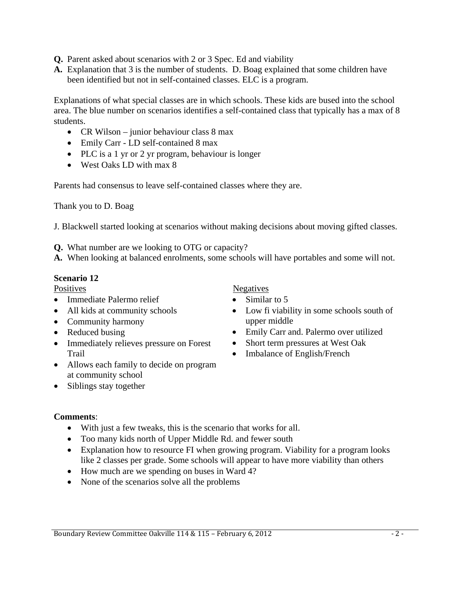- **Q.** Parent asked about scenarios with 2 or 3 Spec. Ed and viability
- **A.** Explanation that 3 is the number of students. D. Boag explained that some children have been identified but not in self-contained classes. ELC is a program.

Explanations of what special classes are in which schools. These kids are bused into the school area. The blue number on scenarios identifies a self-contained class that typically has a max of 8 students.

- CR Wilson junior behaviour class 8 max
- Emily Carr LD self-contained 8 max
- PLC is a 1 yr or 2 yr program, behaviour is longer
- West Oaks LD with max 8

Parents had consensus to leave self-contained classes where they are.

Thank you to D. Boag

J. Blackwell started looking at scenarios without making decisions about moving gifted classes.

**Q.** What number are we looking to OTG or capacity?

**A.** When looking at balanced enrolments, some schools will have portables and some will not.

### **Scenario 12**

**Positives** 

- Immediate Palermo relief
- All kids at community schools
- Community harmony
- Reduced busing
- Immediately relieves pressure on Forest Trail
- Allows each family to decide on program at community school
- Siblings stay together

# Negatives

- Similar to 5
- Low fi viability in some schools south of upper middle
- Emily Carr and. Palermo over utilized
- Short term pressures at West Oak
- Imbalance of English/French

# **Comments**:

- With just a few tweaks, this is the scenario that works for all.
- Too many kids north of Upper Middle Rd. and fewer south
- Explanation how to resource FI when growing program. Viability for a program looks like 2 classes per grade. Some schools will appear to have more viability than others
- How much are we spending on buses in Ward 4?
- None of the scenarios solve all the problems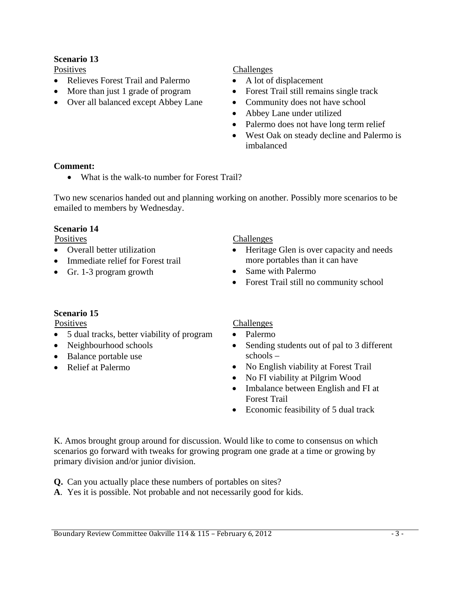### **Scenario 13**

**Positives** 

- Relieves Forest Trail and Palermo
- More than just 1 grade of program
- Over all balanced except Abbey Lane

#### Challenges

- A lot of displacement
- Forest Trail still remains single track
- Community does not have school
- Abbey Lane under utilized
- Palermo does not have long term relief
- West Oak on steady decline and Palermo is imbalanced

### **Comment:**

• What is the walk-to number for Forest Trail?

Two new scenarios handed out and planning working on another. Possibly more scenarios to be emailed to members by Wednesday.

### **Scenario 14**

**Positives** 

- Overall better utilization
- Immediate relief for Forest trail
- Gr. 1-3 program growth

Challenges

- Heritage Glen is over capacity and needs more portables than it can have
- Same with Palermo
- Forest Trail still no community school

### **Scenario 15**

**Positives** 

- 5 dual tracks, better viability of program
- Neighbourhood schools
- Balance portable use
- Relief at Palermo

# Challenges

- Palermo
- Sending students out of pal to 3 different schools –
- No English viability at Forest Trail
- No FI viability at Pilgrim Wood
- Imbalance between English and FI at Forest Trail
- Economic feasibility of 5 dual track

K. Amos brought group around for discussion. Would like to come to consensus on which scenarios go forward with tweaks for growing program one grade at a time or growing by primary division and/or junior division.

**Q.** Can you actually place these numbers of portables on sites?

**A**. Yes it is possible. Not probable and not necessarily good for kids.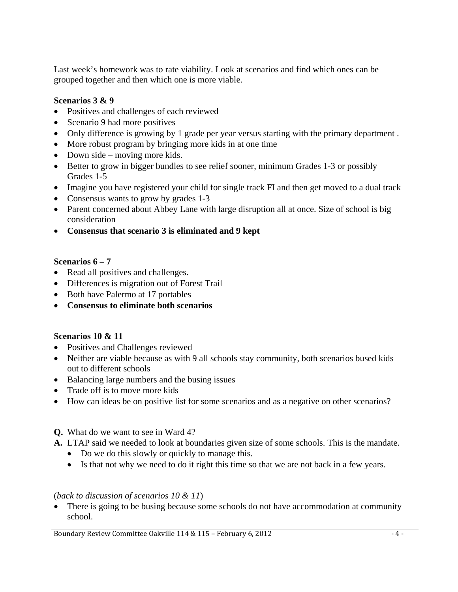Last week's homework was to rate viability. Look at scenarios and find which ones can be grouped together and then which one is more viable.

### **Scenarios 3 & 9**

- Positives and challenges of each reviewed
- Scenario 9 had more positives
- Only difference is growing by 1 grade per year versus starting with the primary department.
- More robust program by bringing more kids in at one time
- Down side moving more kids.
- Better to grow in bigger bundles to see relief sooner, minimum Grades 1-3 or possibly Grades 1-5
- Imagine you have registered your child for single track FI and then get moved to a dual track
- Consensus wants to grow by grades 1-3
- Parent concerned about Abbey Lane with large disruption all at once. Size of school is big consideration
- **Consensus that scenario 3 is eliminated and 9 kept**

### **Scenarios 6 – 7**

- Read all positives and challenges.
- Differences is migration out of Forest Trail
- Both have Palermo at 17 portables
- **Consensus to eliminate both scenarios**

### **Scenarios 10 & 11**

- Positives and Challenges reviewed
- Neither are viable because as with 9 all schools stay community, both scenarios bused kids out to different schools
- Balancing large numbers and the busing issues
- Trade off is to move more kids
- How can ideas be on positive list for some scenarios and as a negative on other scenarios?

# **Q.** What do we want to see in Ward 4?

- **A.** LTAP said we needed to look at boundaries given size of some schools. This is the mandate.
	- Do we do this slowly or quickly to manage this.
	- Is that not why we need to do it right this time so that we are not back in a few years.

### (*back to discussion of scenarios 10 & 11*)

• There is going to be busing because some schools do not have accommodation at community school.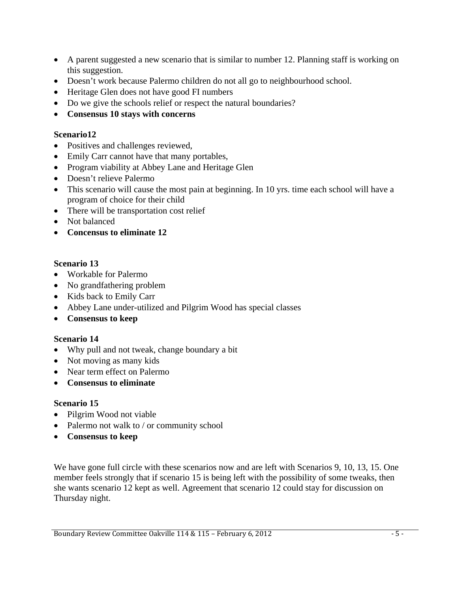- A parent suggested a new scenario that is similar to number 12. Planning staff is working on this suggestion.
- Doesn't work because Palermo children do not all go to neighbourhood school.
- Heritage Glen does not have good FI numbers
- Do we give the schools relief or respect the natural boundaries?
- **Consensus 10 stays with concerns**

### **Scenario12**

- Positives and challenges reviewed,
- Emily Carr cannot have that many portables,
- Program viability at Abbey Lane and Heritage Glen
- Doesn't relieve Palermo
- This scenario will cause the most pain at beginning. In 10 yrs. time each school will have a program of choice for their child
- There will be transportation cost relief
- Not balanced
- **Concensus to eliminate 12**

### **Scenario 13**

- Workable for Palermo
- No grandfathering problem
- Kids back to Emily Carr
- Abbey Lane under-utilized and Pilgrim Wood has special classes
- **Consensus to keep**

### **Scenario 14**

- Why pull and not tweak, change boundary a bit
- Not moving as many kids
- Near term effect on Palermo
- **Consensus to eliminate**

### **Scenario 15**

- Pilgrim Wood not viable
- Palermo not walk to / or community school
- **Consensus to keep**

We have gone full circle with these scenarios now and are left with Scenarios 9, 10, 13, 15. One member feels strongly that if scenario 15 is being left with the possibility of some tweaks, then she wants scenario 12 kept as well. Agreement that scenario 12 could stay for discussion on Thursday night.